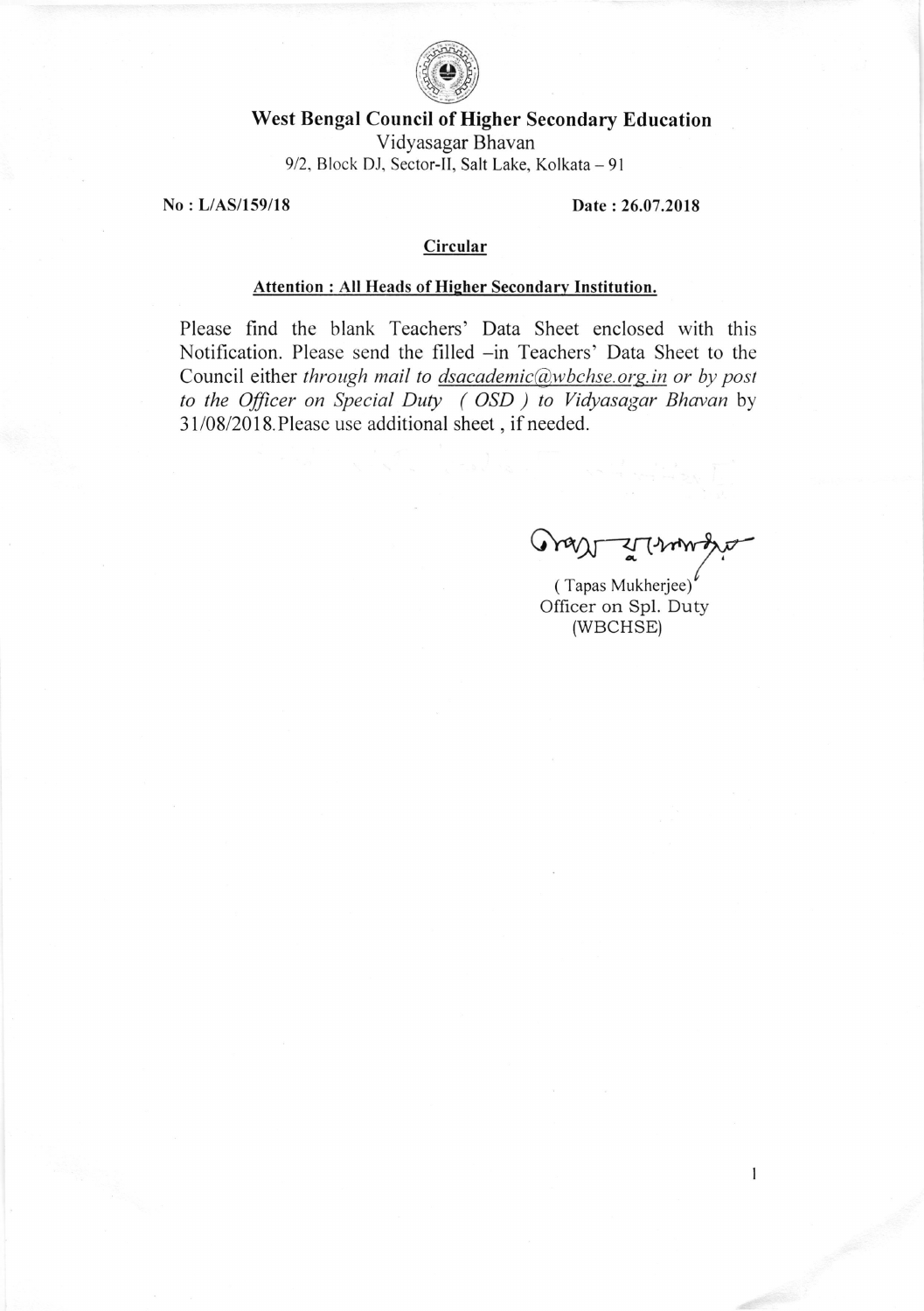

## West Bengal Council of Higher Secondary Education

Vidyasagar Bhavan 9/2, Block DJ, Sector-II, Salt Lake, Kolkata - 91

No: L/AS/159/18

Date: 26.07.2018

## Circular

## **Attention: All Heads of Higher Secondary Institution.**

Please find the blank Teachers' Data Sheet enclosed with this Notification. Please send the filled -in Teachers' Data Sheet to the Council either through mail to dsacademic@wbchse.org.in or by post to the Officer on Special Duty (OSD) to Vidyasagar Bhavan by 31/08/2018. Please use additional sheet, if needed.

 $\mathbf{1}$ 

(Tapas Mukherjee) Officer on Spl. Duty (WBCHSE)